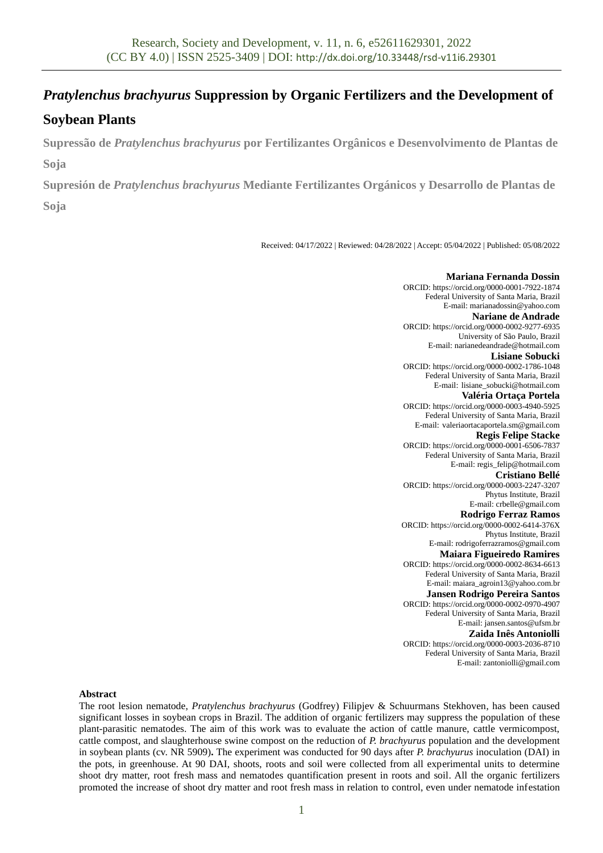# *Pratylenchus brachyurus* **Suppression by Organic Fertilizers and the Development of**

## **Soybean Plants**

**Supressão de** *Pratylenchus brachyurus* **por Fertilizantes Orgânicos e Desenvolvimento de Plantas de Soja**

**Supresión de** *Pratylenchus brachyurus* **Mediante Fertilizantes Orgánicos y Desarrollo de Plantas de** 

**Soja**

Received: 04/17/2022 | Reviewed: 04/28/2022 | Accept: 05/04/2022 | Published: 05/08/2022

#### **Mariana Fernanda Dossin** ORCID: https://orcid.org/0000-0001-7922-1874 Federal University of Santa Maria, Brazil E-mail: marianadossin@yahoo.com **Nariane de Andrade** ORCID: https://orcid.org/0000-0002-9277-6935 University of São Paulo, Brazil E-mail: narianedeandrade@hotmail.com **Lisiane Sobucki** ORCID: https://orcid.org/0000-0002-1786-1048 Federal University of Santa Maria, Brazil E-mail: lisiane\_sobucki@hotmail.com **Valéria Ortaça Portela** ORCID: https://orcid.org/0000-0003-4940-5925 Federal University of Santa Maria, Brazil E-mail: valeriaortacaportela.sm@gmail.com **Regis Felipe Stacke** ORCID: https://orcid.org/0000-0001-6506-7837 Federal University of Santa Maria, Brazil E-mail: regis\_felip@hotmail.com **Cristiano Bellé** ORCID: https://orcid.org/0000-0003-2247-3207 Phytus Institute, Brazil E-mail: crbelle@gmail.com **Rodrigo Ferraz Ramos** ORCID: https://orcid.org/0000-0002-6414-376X Phytus Institute, Brazil E-mail: rodrigoferrazramos@gmail.com **Maiara Figueiredo Ramires** ORCID: https://orcid.org/0000-0002-8634-6613 Federal University of Santa Maria, Brazil E-mail: maiara\_agroin13@yahoo.com.br **Jansen Rodrigo Pereira Santos** ORCID: https://orcid.org/0000-0002-0970-4907 Federal University of Santa Maria, Brazil E-mail: jansen.santos@ufsm.br **Zaida Inês Antoniolli** ORCID: https://orcid.org/0000-0003-2036-8710 Federal University of Santa Maria, Brazil E-mail: zantoniolli@gmail.com

## **Abstract**

The root lesion nematode, *Pratylenchus brachyurus* (Godfrey) Filipjev & Schuurmans Stekhoven, has been caused significant losses in soybean crops in Brazil. The addition of organic fertilizers may suppress the population of these plant-parasitic nematodes. The aim of this work was to evaluate the action of cattle manure, cattle vermicompost, cattle compost, and slaughterhouse swine compost on the reduction of *P. brachyurus* population and the development in soybean plants (cv. NR 5909)**.** The experiment was conducted for 90 days after *P. brachyurus* inoculation (DAI) in the pots, in greenhouse. At 90 DAI, shoots, roots and soil were collected from all experimental units to determine shoot dry matter, root fresh mass and nematodes quantification present in roots and soil. All the organic fertilizers promoted the increase of shoot dry matter and root fresh mass in relation to control, even under nematode infestation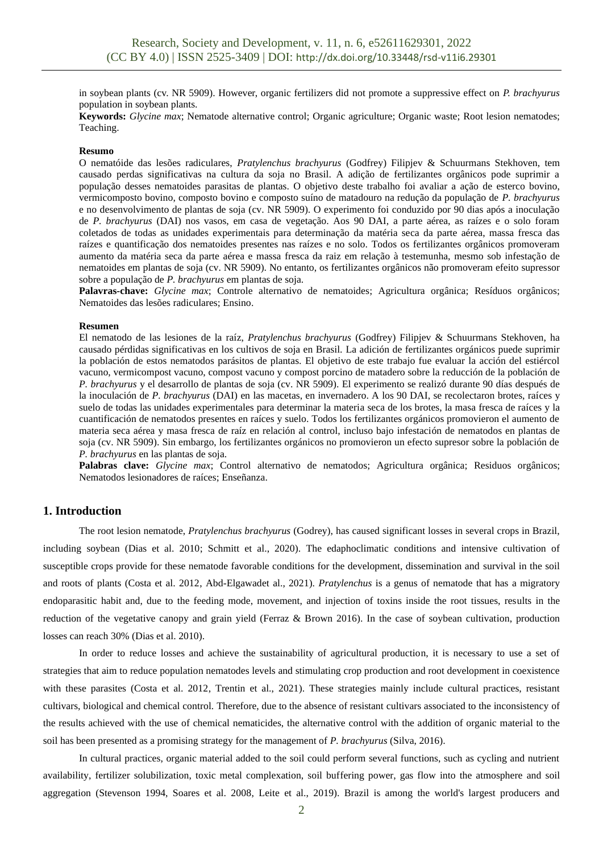in soybean plants (cv. NR 5909). However, organic fertilizers did not promote a suppressive effect on *P. brachyurus* population in soybean plants.

**Keywords:** *Glycine max*; Nematode alternative control; Organic agriculture; Organic waste; Root lesion nematodes; Teaching.

#### **Resumo**

O nematóide das lesões radiculares, *Pratylenchus brachyurus* (Godfrey) Filipjev & Schuurmans Stekhoven, tem causado perdas significativas na cultura da soja no Brasil. A adição de fertilizantes orgânicos pode suprimir a população desses nematoides parasitas de plantas. O objetivo deste trabalho foi avaliar a ação de esterco bovino, vermicomposto bovino, composto bovino e composto suíno de matadouro na redução da população de *P. brachyurus* e no desenvolvimento de plantas de soja (cv. NR 5909). O experimento foi conduzido por 90 dias após a inoculação de *P. brachyurus* (DAI) nos vasos, em casa de vegetação. Aos 90 DAI, a parte aérea, as raízes e o solo foram coletados de todas as unidades experimentais para determinação da matéria seca da parte aérea, massa fresca das raízes e quantificação dos nematoides presentes nas raízes e no solo. Todos os fertilizantes orgânicos promoveram aumento da matéria seca da parte aérea e massa fresca da raiz em relação à testemunha, mesmo sob infestação de nematoides em plantas de soja (cv. NR 5909). No entanto, os fertilizantes orgânicos não promoveram efeito supressor sobre a população de *P. brachyurus* em plantas de soja.

**Palavras-chave:** *Glycine max*; Controle alternativo de nematoides; Agricultura orgânica; Resíduos orgânicos; Nematoides das lesões radiculares; Ensino.

#### **Resumen**

El nematodo de las lesiones de la raíz, *Pratylenchus brachyurus* (Godfrey) Filipjev & Schuurmans Stekhoven, ha causado pérdidas significativas en los cultivos de soja en Brasil. La adición de fertilizantes orgánicos puede suprimir la población de estos nematodos parásitos de plantas. El objetivo de este trabajo fue evaluar la acción del estiércol vacuno, vermicompost vacuno, compost vacuno y compost porcino de matadero sobre la reducción de la población de *P. brachyurus* y el desarrollo de plantas de soja (cv. NR 5909). El experimento se realizó durante 90 días después de la inoculación de *P. brachyurus* (DAI) en las macetas, en invernadero. A los 90 DAI, se recolectaron brotes, raíces y suelo de todas las unidades experimentales para determinar la materia seca de los brotes, la masa fresca de raíces y la cuantificación de nematodos presentes en raíces y suelo. Todos los fertilizantes orgánicos promovieron el aumento de materia seca aérea y masa fresca de raíz en relación al control, incluso bajo infestación de nematodos en plantas de soja (cv. NR 5909). Sin embargo, los fertilizantes orgánicos no promovieron un efecto supresor sobre la población de *P. brachyurus* en las plantas de soja.

**Palabras clave:** *Glycine max*; Control alternativo de nematodos; Agricultura orgânica; Residuos orgânicos; Nematodos lesionadores de raíces; Enseñanza.

#### **1. Introduction**

The root lesion nematode, *Pratylenchus brachyurus* (Godrey), has caused significant losses in several crops in Brazil, including soybean (Dias et al. 2010; Schmitt et al., 2020). The edaphoclimatic conditions and intensive cultivation of susceptible crops provide for these nematode favorable conditions for the development, dissemination and survival in the soil and roots of plants (Costa et al. 2012, Abd-Elgawadet al., 2021). *Pratylenchus* is a genus of nematode that has a migratory endoparasitic habit and, due to the feeding mode, movement, and injection of toxins inside the root tissues, results in the reduction of the vegetative canopy and grain yield (Ferraz & Brown 2016). In the case of soybean cultivation, production losses can reach 30% (Dias et al. 2010).

In order to reduce losses and achieve the sustainability of agricultural production, it is necessary to use a set of strategies that aim to reduce population nematodes levels and stimulating crop production and root development in coexistence with these parasites (Costa et al. 2012, Trentin et al., 2021). These strategies mainly include cultural practices, resistant cultivars, biological and chemical control. Therefore, due to the absence of resistant cultivars associated to the inconsistency of the results achieved with the use of chemical nematicides, the alternative control with the addition of organic material to the soil has been presented as a promising strategy for the management of *P. brachyurus* (Silva, 2016).

In cultural practices, organic material added to the soil could perform several functions, such as cycling and nutrient availability, fertilizer solubilization, toxic metal complexation, soil buffering power, gas flow into the atmosphere and soil aggregation (Stevenson 1994, Soares et al. 2008, Leite et al., 2019). Brazil is among the world's largest producers and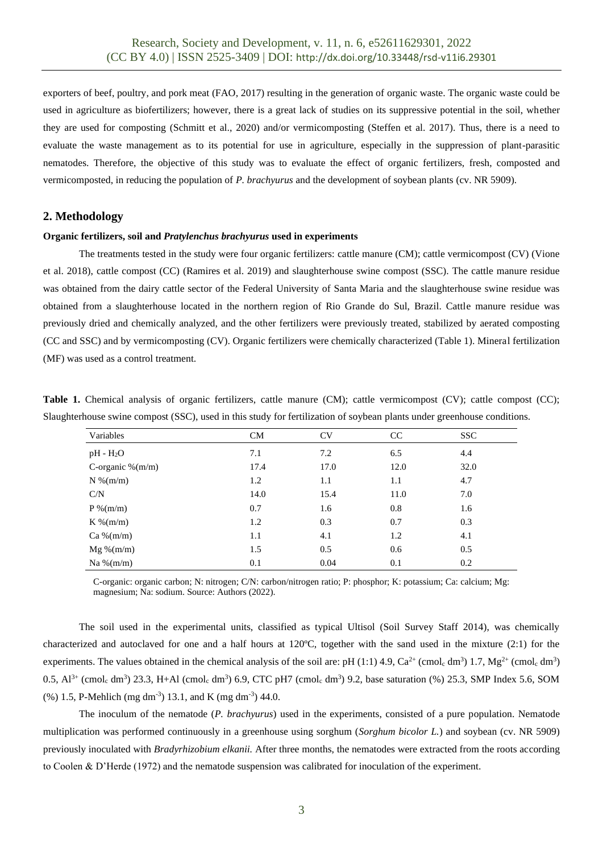exporters of beef, poultry, and pork meat (FAO, 2017) resulting in the generation of organic waste. The organic waste could be used in agriculture as biofertilizers; however, there is a great lack of studies on its suppressive potential in the soil, whether they are used for composting (Schmitt et al., 2020) and/or vermicomposting (Steffen et al. 2017). Thus, there is a need to evaluate the waste management as to its potential for use in agriculture, especially in the suppression of plant-parasitic nematodes. Therefore, the objective of this study was to evaluate the effect of organic fertilizers, fresh, composted and vermicomposted, in reducing the population of *P. brachyurus* and the development of soybean plants (cv. NR 5909).

## **2. Methodology**

#### **Organic fertilizers, soil and** *Pratylenchus brachyurus* **used in experiments**

The treatments tested in the study were four organic fertilizers: cattle manure (CM); cattle vermicompost (CV) (Vione et al. 2018), cattle compost (CC) (Ramires et al. 2019) and slaughterhouse swine compost (SSC). The cattle manure residue was obtained from the dairy cattle sector of the Federal University of Santa Maria and the slaughterhouse swine residue was obtained from a slaughterhouse located in the northern region of Rio Grande do Sul, Brazil. Cattle manure residue was previously dried and chemically analyzed, and the other fertilizers were previously treated, stabilized by aerated composting (CC and SSC) and by vermicomposting (CV). Organic fertilizers were chemically characterized (Table 1). Mineral fertilization (MF) was used as a control treatment.

|  |  |  |  |  | Table 1. Chemical analysis of organic fertilizers, cattle manure (CM); cattle vermicompost (CV); cattle compost (CC);   |  |  |
|--|--|--|--|--|-------------------------------------------------------------------------------------------------------------------------|--|--|
|  |  |  |  |  | Slaughterhouse swine compost (SSC), used in this study for fertilization of soybean plants under greenhouse conditions. |  |  |

| Variables            | CM   | <b>CV</b> | CC   | SSC. |
|----------------------|------|-----------|------|------|
| $pH - H2O$           | 7.1  | 7.2       | 6.5  | 4.4  |
| C-organic $\%$ (m/m) | 17.4 | 17.0      | 12.0 | 32.0 |
| $N$ %(m/m)           | 1.2  | 1.1       | 1.1  | 4.7  |
| C/N                  | 14.0 | 15.4      | 11.0 | 7.0  |
| $P\%$ (m/m)          | 0.7  | 1.6       | 0.8  | 1.6  |
| $K\%$ (m/m)          | 1.2  | 0.3       | 0.7  | 0.3  |
| $Ca\% (m/m)$         | 1.1  | 4.1       | 1.2  | 4.1  |
| $Mg\% (m/m)$         | 1.5  | 0.5       | 0.6  | 0.5  |
| Na % $(m/m)$         | 0.1  | 0.04      | 0.1  | 0.2  |

C-organic: organic carbon; N: nitrogen; C/N: carbon/nitrogen ratio; P: phosphor; K: potassium; Ca: calcium; Mg: magnesium; Na: sodium. Source: Authors (2022).

The soil used in the experimental units, classified as typical Ultisol (Soil Survey Staff 2014), was chemically characterized and autoclaved for one and a half hours at 120ºC, together with the sand used in the mixture (2:1) for the experiments. The values obtained in the chemical analysis of the soil are: pH (1:1) 4.9,  $Ca^{2+}$  (cmol<sub>c</sub> dm<sup>3</sup>) 1.7,  $Mg^{2+}$  (cmol<sub>c</sub> dm<sup>3</sup>) 0.5,  $Al^{3+}$  (cmol<sub>c</sub> dm<sup>3</sup>) 23.3, H+Al (cmol<sub>c</sub> dm<sup>3</sup>) 6.9, CTC pH7 (cmol<sub>c</sub> dm<sup>3</sup>) 9.2, base saturation (%) 25.3, SMP Index 5.6, SOM  $(\%)$  1.5, P-Mehlich (mg dm<sup>-3</sup>) 13.1, and K (mg dm<sup>-3</sup>) 44.0.

The inoculum of the nematode (*P. brachyurus*) used in the experiments, consisted of a pure population. Nematode multiplication was performed continuously in a greenhouse using sorghum (*Sorghum bicolor L.*) and soybean (cv. NR 5909) previously inoculated with *Bradyrhizobium elkanii.* After three months, the nematodes were extracted from the roots according to Coolen & D'Herde (1972) and the nematode suspension was calibrated for inoculation of the experiment.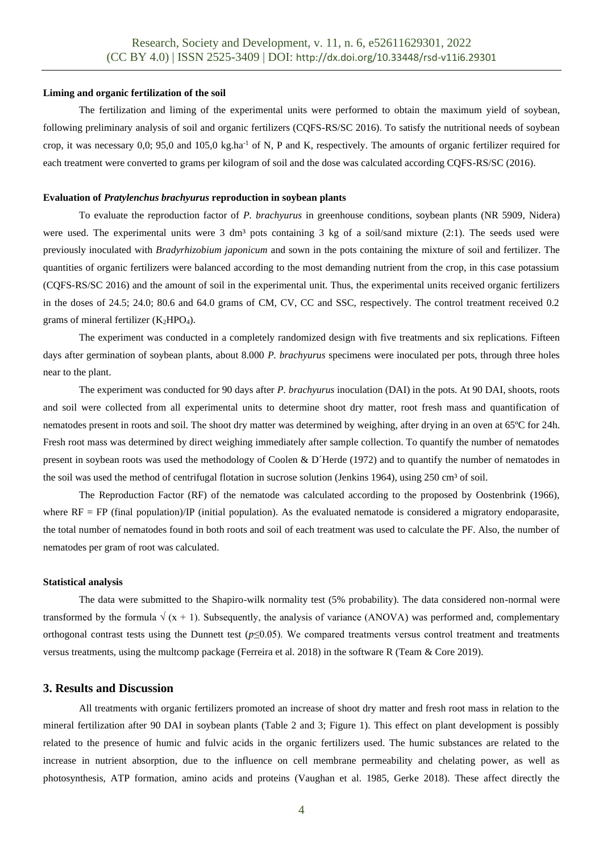#### **Liming and organic fertilization of the soil**

The fertilization and liming of the experimental units were performed to obtain the maximum yield of soybean, following preliminary analysis of soil and organic fertilizers (CQFS-RS/SC 2016). To satisfy the nutritional needs of soybean crop, it was necessary  $0.0$ ; 95,0 and  $105.0 \text{ kg.ha}^{-1}$  of N, P and K, respectively. The amounts of organic fertilizer required for each treatment were converted to grams per kilogram of soil and the dose was calculated according CQFS-RS/SC (2016).

#### **Evaluation of** *Pratylenchus brachyurus* **reproduction in soybean plants**

To evaluate the reproduction factor of *P. brachyurus* in greenhouse conditions, soybean plants (NR 5909, Nidera) were used. The experimental units were 3 dm<sup>3</sup> pots containing 3 kg of a soil/sand mixture (2:1). The seeds used were previously inoculated with *Bradyrhizobium japonicum* and sown in the pots containing the mixture of soil and fertilizer. The quantities of organic fertilizers were balanced according to the most demanding nutrient from the crop, in this case potassium (CQFS-RS/SC 2016) and the amount of soil in the experimental unit. Thus, the experimental units received organic fertilizers in the doses of 24.5; 24.0; 80.6 and 64.0 grams of CM, CV, CC and SSC, respectively. The control treatment received 0.2 grams of mineral fertilizer  $(K_2HPO_4)$ .

The experiment was conducted in a completely randomized design with five treatments and six replications. Fifteen days after germination of soybean plants, about 8.000 *P. brachyurus* specimens were inoculated per pots, through three holes near to the plant.

The experiment was conducted for 90 days after *P. brachyurus* inoculation (DAI) in the pots. At 90 DAI, shoots, roots and soil were collected from all experimental units to determine shoot dry matter, root fresh mass and quantification of nematodes present in roots and soil. The shoot dry matter was determined by weighing, after drying in an oven at 65ºC for 24h. Fresh root mass was determined by direct weighing immediately after sample collection. To quantify the number of nematodes present in soybean roots was used the methodology of Coolen & D´Herde (1972) and to quantify the number of nematodes in the soil was used the method of centrifugal flotation in sucrose solution (Jenkins 1964), using 250 cm<sup>3</sup> of soil.

The Reproduction Factor (RF) of the nematode was calculated according to the proposed by Oostenbrink (1966), where  $RF = FP$  (final population)/IP (initial population). As the evaluated nematode is considered a migratory endoparasite, the total number of nematodes found in both roots and soil of each treatment was used to calculate the PF. Also, the number of nematodes per gram of root was calculated.

#### **Statistical analysis**

The data were submitted to the Shapiro-wilk normality test (5% probability). The data considered non-normal were transformed by the formula  $\sqrt{(x + 1)}$ . Subsequently, the analysis of variance (ANOVA) was performed and, complementary orthogonal contrast tests using the Dunnett test ( $p \le 0.05$ ). We compared treatments versus control treatment and treatments versus treatments, using the multcomp package (Ferreira et al. 2018) in the software R (Team & Core 2019).

## **3. Results and Discussion**

All treatments with organic fertilizers promoted an increase of shoot dry matter and fresh root mass in relation to the mineral fertilization after 90 DAI in soybean plants (Table 2 and 3; Figure 1). This effect on plant development is possibly related to the presence of humic and fulvic acids in the organic fertilizers used. The humic substances are related to the increase in nutrient absorption, due to the influence on cell membrane permeability and chelating power, as well as photosynthesis, ATP formation, amino acids and proteins (Vaughan et al. 1985, Gerke 2018). These affect directly the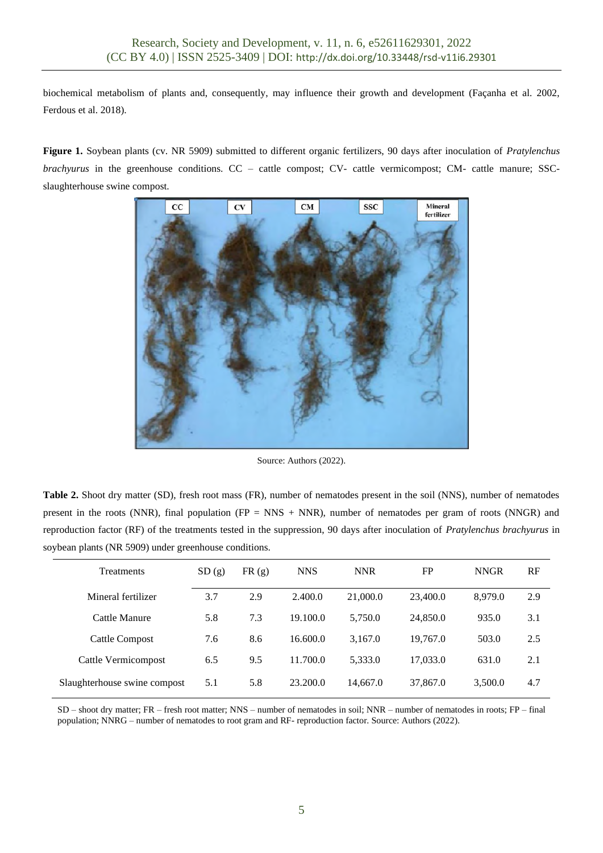biochemical metabolism of plants and, consequently, may influence their growth and development (Façanha et al. 2002, Ferdous et al. 2018).

**Figure 1.** Soybean plants (cv. NR 5909) submitted to different organic fertilizers, 90 days after inoculation of *Pratylenchus brachyurus* in the greenhouse conditions. CC – cattle compost; CV- cattle vermicompost; CM- cattle manure; SSCslaughterhouse swine compost.



Source: Authors (2022).

**Table 2.** Shoot dry matter (SD), fresh root mass (FR), number of nematodes present in the soil (NNS), number of nematodes present in the roots (NNR), final population ( $FP = NNS + NNR$ ), number of nematodes per gram of roots (NNGR) and reproduction factor (RF) of the treatments tested in the suppression, 90 days after inoculation of *Pratylenchus brachyurus* in soybean plants (NR 5909) under greenhouse conditions.

| Treatments                   | SD(g) | FR(g) | <b>NNS</b> | <b>NNR</b> | FP       | <b>NNGR</b> | RF  |
|------------------------------|-------|-------|------------|------------|----------|-------------|-----|
| Mineral fertilizer           | 3.7   | 2.9   | 2.400.0    | 21,000.0   | 23,400.0 | 8.979.0     | 2.9 |
| Cattle Manure                | 5.8   | 7.3   | 19.100.0   | 5.750.0    | 24,850.0 | 935.0       | 3.1 |
| <b>Cattle Compost</b>        | 7.6   | 8.6   | 16,600.0   | 3,167.0    | 19.767.0 | 503.0       | 2.5 |
| Cattle Vermicompost          | 6.5   | 9.5   | 11.700.0   | 5,333.0    | 17,033.0 | 631.0       | 2.1 |
| Slaughterhouse swine compost | 5.1   | 5.8   | 23.200.0   | 14,667.0   | 37,867.0 | 3,500.0     | 4.7 |

SD – shoot dry matter; FR – fresh root matter; NNS – number of nematodes in soil; NNR – number of nematodes in roots; FP – final population; NNRG – number of nematodes to root gram and RF- reproduction factor. Source: Authors (2022).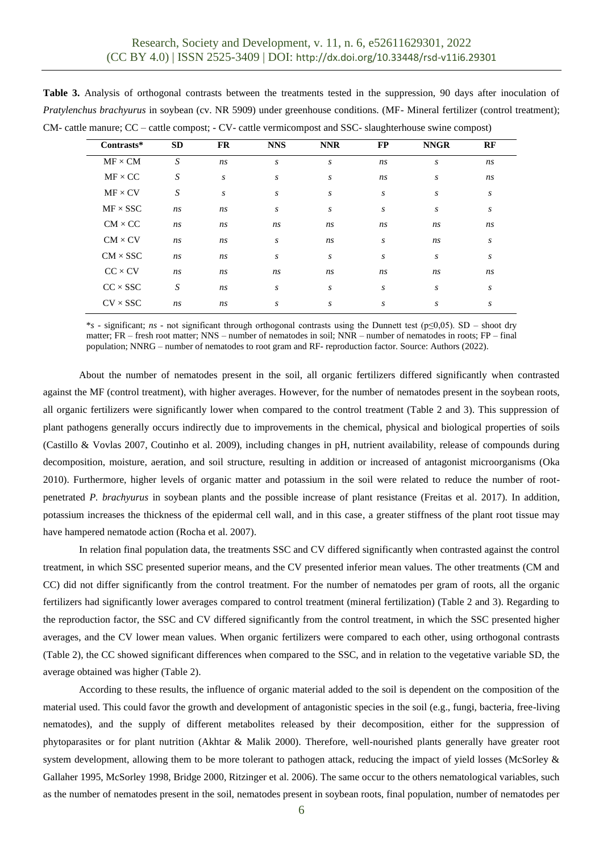| Contrasts*      | <b>SD</b> | <b>FR</b> | <b>NNS</b> | <b>NNR</b> | <b>FP</b>        | <b>NNGR</b> | RF |
|-----------------|-----------|-----------|------------|------------|------------------|-------------|----|
| $MF \times CM$  | S         | ns        | S          | S          | ns               | S           | ns |
| $MF \times CC$  | S         | S         | S          | S          | ns               | S           | ns |
| $MF \times CV$  | S         | S         | S          | s          | S                | S           | S  |
| $MF \times SSC$ | ns        | ns        | S          | S          | S                | S           | S  |
| $CM \times CC$  | ns        | ns        | ns         | ns         | ns               | ns          | ns |
| $CM \times CV$  | ns        | ns        | S          | ns         | S                | ns          | S  |
| $CM \times SSC$ | ns        | ns        | S          | S          | $\boldsymbol{S}$ | S           | S  |
| $CC \times CV$  | ns        | ns        | ns         | ns         | ns               | ns          | ns |
| $CC \times SSC$ | S         | ns        | S          | s          | S                | S           | S  |
| $CV \times SSC$ | ns        | ns        | S          | S          | S                | S           | S  |

**Table 3.** Analysis of orthogonal contrasts between the treatments tested in the suppression, 90 days after inoculation of *Pratylenchus brachyurus* in soybean (cv. NR 5909) under greenhouse conditions. (MF- Mineral fertilizer (control treatment); CM- cattle manure; CC – cattle compost; - CV- cattle vermicompost and SSC- slaughterhouse swine compost)

\**s* - significant; *ns* - not significant through orthogonal contrasts using the Dunnett test (p≤0,05). SD – shoot dry matter; FR – fresh root matter; NNS – number of nematodes in soil; NNR – number of nematodes in roots; FP – final population; NNRG – number of nematodes to root gram and RF- reproduction factor. Source: Authors (2022).

About the number of nematodes present in the soil, all organic fertilizers differed significantly when contrasted against the MF (control treatment), with higher averages. However, for the number of nematodes present in the soybean roots, all organic fertilizers were significantly lower when compared to the control treatment (Table 2 and 3). This suppression of plant pathogens generally occurs indirectly due to improvements in the chemical, physical and biological properties of soils (Castillo & Vovlas 2007, Coutinho et al. 2009), including changes in pH, nutrient availability, release of compounds during decomposition, moisture, aeration, and soil structure, resulting in addition or increased of antagonist microorganisms (Oka 2010). Furthermore, higher levels of organic matter and potassium in the soil were related to reduce the number of rootpenetrated *P. brachyurus* in soybean plants and the possible increase of plant resistance (Freitas et al. 2017). In addition, potassium increases the thickness of the epidermal cell wall, and in this case, a greater stiffness of the plant root tissue may have hampered nematode action (Rocha et al. 2007).

In relation final population data, the treatments SSC and CV differed significantly when contrasted against the control treatment, in which SSC presented superior means, and the CV presented inferior mean values. The other treatments (CM and CC) did not differ significantly from the control treatment. For the number of nematodes per gram of roots, all the organic fertilizers had significantly lower averages compared to control treatment (mineral fertilization) (Table 2 and 3). Regarding to the reproduction factor, the SSC and CV differed significantly from the control treatment, in which the SSC presented higher averages, and the CV lower mean values. When organic fertilizers were compared to each other, using orthogonal contrasts (Table 2), the CC showed significant differences when compared to the SSC, and in relation to the vegetative variable SD, the average obtained was higher (Table 2).

According to these results, the influence of organic material added to the soil is dependent on the composition of the material used. This could favor the growth and development of antagonistic species in the soil (e.g., fungi, bacteria, free-living nematodes), and the supply of different metabolites released by their decomposition, either for the suppression of phytoparasites or for plant nutrition (Akhtar & Malik 2000). Therefore, well-nourished plants generally have greater root system development, allowing them to be more tolerant to pathogen attack, reducing the impact of yield losses (McSorley & Gallaher 1995, McSorley 1998, Bridge 2000, Ritzinger et al. 2006). The same occur to the others nematological variables, such as the number of nematodes present in the soil, nematodes present in soybean roots, final population, number of nematodes per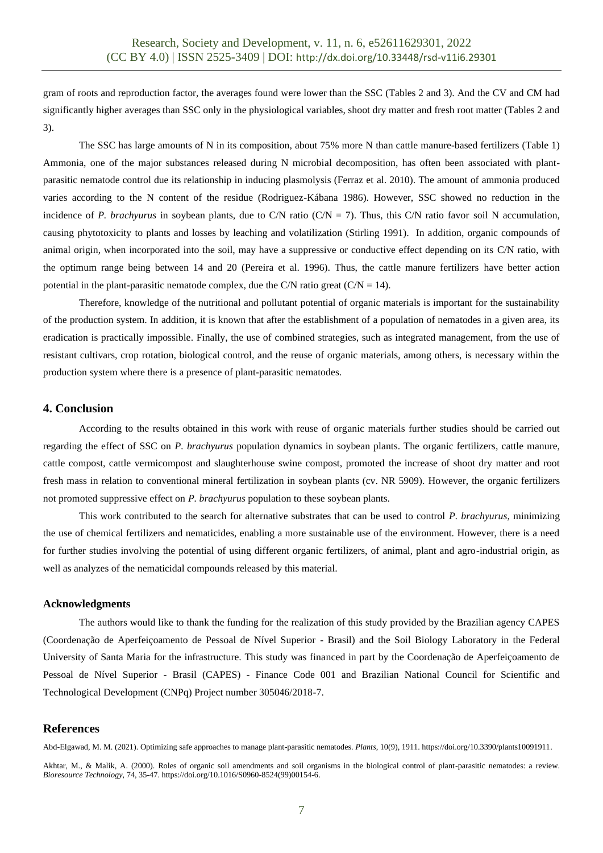gram of roots and reproduction factor, the averages found were lower than the SSC (Tables 2 and 3). And the CV and CM had significantly higher averages than SSC only in the physiological variables, shoot dry matter and fresh root matter (Tables 2 and 3).

The SSC has large amounts of N in its composition, about 75% more N than cattle manure-based fertilizers (Table 1) Ammonia, one of the major substances released during N microbial decomposition, has often been associated with plantparasitic nematode control due its relationship in inducing plasmolysis (Ferraz et al. 2010). The amount of ammonia produced varies according to the N content of the residue (Rodriguez-Kábana 1986). However, SSC showed no reduction in the incidence of *P. brachyurus* in soybean plants, due to C/N ratio (C/N = 7). Thus, this C/N ratio favor soil N accumulation, causing phytotoxicity to plants and losses by leaching and volatilization (Stirling 1991). In addition, organic compounds of animal origin, when incorporated into the soil, may have a suppressive or conductive effect depending on its C/N ratio, with the optimum range being between 14 and 20 (Pereira et al. 1996). Thus, the cattle manure fertilizers have better action potential in the plant-parasitic nematode complex, due the C/N ratio great  $(C/N = 14)$ .

Therefore, knowledge of the nutritional and pollutant potential of organic materials is important for the sustainability of the production system. In addition, it is known that after the establishment of a population of nematodes in a given area, its eradication is practically impossible. Finally, the use of combined strategies, such as integrated management, from the use of resistant cultivars, crop rotation, biological control, and the reuse of organic materials, among others, is necessary within the production system where there is a presence of plant-parasitic nematodes.

## **4. Conclusion**

According to the results obtained in this work with reuse of organic materials further studies should be carried out regarding the effect of SSC on *P. brachyurus* population dynamics in soybean plants. The organic fertilizers, cattle manure, cattle compost, cattle vermicompost and slaughterhouse swine compost, promoted the increase of shoot dry matter and root fresh mass in relation to conventional mineral fertilization in soybean plants (cv. NR 5909). However, the organic fertilizers not promoted suppressive effect on *P. brachyurus* population to these soybean plants.

This work contributed to the search for alternative substrates that can be used to control *P. brachyurus*, minimizing the use of chemical fertilizers and nematicides, enabling a more sustainable use of the environment. However, there is a need for further studies involving the potential of using different organic fertilizers, of animal, plant and agro-industrial origin, as well as analyzes of the nematicidal compounds released by this material.

#### **Acknowledgments**

The authors would like to thank the funding for the realization of this study provided by the Brazilian agency CAPES (Coordenação de Aperfeiçoamento de Pessoal de Nível Superior - Brasil) and the Soil Biology Laboratory in the Federal University of Santa Maria for the infrastructure. This study was financed in part by the Coordenação de Aperfeiçoamento de Pessoal de Nível Superior - Brasil (CAPES) - Finance Code 001 and Brazilian National Council for Scientific and Technological Development (CNPq) Project number 305046/2018-7.

## **References**

Abd-Elgawad, M. M. (2021). Optimizing safe approaches to manage plant-parasitic nematodes. *Plants*, 10(9), 1911. https://doi.org/10.3390/plants10091911.

Akhtar, M., & Malik, A. (2000). Roles of organic soil amendments and soil organisms in the biological control of plant-parasitic nematodes: a review. *Bioresource Technology,* 74, 35-47. https://doi.org/10.1016/S0960-8524(99)00154-6.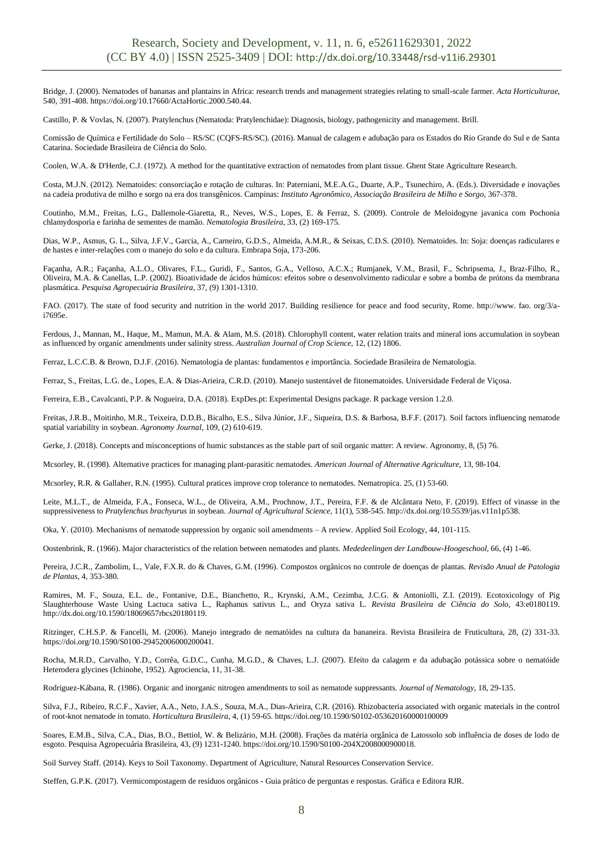Bridge, J. (2000). Nematodes of bananas and plantains in Africa: research trends and management strategies relating to small-scale farmer. *Acta Horticulturae,* 540, 391-408. https://doi.org/10.17660/ActaHortic.2000.540.44.

Castillo, P. & Vovlas, N. (2007). Pratylenchus (Nematoda: Pratylenchidae): Diagnosis, biology, pathogenicity and management. Brill.

Comissão de Química e Fertilidade do Solo – RS/SC (CQFS-RS/SC). (2016). Manual de calagem e adubação para os Estados do Rio Grande do Sul e de Santa Catarina. Sociedade Brasileira de Ciência do Solo.

Coolen, W.A. & D'Herde, C.J. (1972). A method for the quantitative extraction of nematodes from plant tissue. Ghent State Agriculture Research.

Costa, M.J.N. (2012). Nematoides: consorciação e rotação de culturas. In: Paterniani, M.E.A.G., Duarte, A.P., Tsunechiro, A. (Eds.). Diversidade e inovações na cadeia produtiva de milho e sorgo na era dos transgênicos. Campinas: *Instituto Agronômico, Associação Brasileira de Milho e Sorgo,* 367-378.

Coutinho, M.M., Freitas, L.G., Dallemole-Giaretta, R., Neves, W.S., Lopes, E. & Ferraz, S. (2009). Controle de Meloidogyne javanica com Pochonia chlamydosporia e farinha de sementes de mamão. *Nematologia Brasileira*, 33, (2) 169-175.

Dias, W.P., Asmus, G. L., Silva, J.F.V., Garcia, A., Carneiro, G.D.S., Almeida, A.M.R., & Seixas, C.D.S. (2010). Nematoides. In: Soja: doenças radiculares e de hastes e inter-relações com o manejo do solo e da cultura. Embrapa Soja, 173-206.

Façanha, A.R.; Façanha, A.L.O., Olivares, F.L., Guridi, F., Santos, G.A., Velloso, A.C.X.; Rumjanek, V.M., Brasil, F., Schripsema, J., Braz-Filho, R., Oliveira, M.A. & Canellas, L.P. (2002). Bioatividade de ácidos húmicos: efeitos sobre o desenvolvimento radicular e sobre a bomba de prótons da membrana plasmática. *Pesquisa Agropecuária Brasileira*, 37, (9) 1301-1310.

FAO. (2017). The state of food security and nutrition in the world 2017. Building resilience for peace and food security, Rome. http://www. fao. org/3/ai7695e.

Ferdous, J., Mannan, M., Haque, M., Mamun, M.A. & Alam, M.S. (2018). Chlorophyll content, water relation traits and mineral ions accumulation in soybean as influenced by organic amendments under salinity stress. *Australian Journal of Crop Science*, 12, (12) 1806.

Ferraz, L.C.C.B. & Brown, D.J.F. (2016). Nematologia de plantas: fundamentos e importância. Sociedade Brasileira de Nematologia.

Ferraz, S., Freitas, L.G. de., Lopes, E.A. & Dias-Arieira, C.R.D. (2010). Manejo sustentável de fitonematoides. Universidade Federal de Viçosa.

Ferreira, E.B., Cavalcanti, P.P. & Nogueira, D.A. (2018). ExpDes.pt: Experimental Designs package. R package version 1.2.0.

Freitas, J.R.B., Moitinho, M.R., Teixeira, D.D.B., Bicalho, E.S., Silva Júnior, J.F., Siqueira, D.S. & Barbosa, B.F.F. (2017). Soil factors influencing nematode spatial variability in soybean. *Agronomy Journal*, 109, (2) 610-619.

Gerke, J. (2018). Concepts and misconceptions of humic substances as the stable part of soil organic matter: A review. Agronomy, 8, (5) 76.

Mcsorley, R. (1998). Alternative practices for managing plant-parasitic nematodes. *American Journal of Alternative Agriculture,* 13, 98-104.

Mcsorley, R.R. & Gallaher, R.N. (1995). Cultural pratices improve crop tolerance to nematodes. Nematropica. 25, (1) 53-60.

Leite, M.L.T., de Almeida, F.A., Fonseca, W.L., de Oliveira, A.M., Prochnow, J.T., Pereira, F.F. & de Alcântara Neto, F. (2019). Effect of vinasse in the suppressiveness to *Pratylenchus brachyurus* in soybean. *Journal of Agricultural Science,* 11(1), 538-545. http://dx.doi.org/10.5539/jas.v11n1p538.

Oka, Y. (2010). Mechanisms of nematode suppression by organic soil amendments – A review. Applied Soil Ecology, 44, 101-115.

Oostenbrink, R. (1966). Major characteristics of the relation between nematodes and plants. *Mededeelingen der Landbouw-Hoogeschool*, 66, (4) 1-46.

Pereira, J.C.R., Zambolim, L., Vale, F.X.R. do & Chaves, G.M. (1996). Compostos orgânicos no controle de doenças de plantas. *Revisão Anual de Patologia de Plantas,* 4, 353-380.

Ramires, M. F., Souza, E.L. de., Fontanive, D.E., Bianchetto, R., Krynski, A.M., Cezimba, J.C.G. & Antoniolli, Z.I. (2019). Ecotoxicology of Pig Slaughterhouse Waste Using Lactuca sativa L., Raphanus sativus L., and Oryza sativa L. *Revista Brasileira de Ciência do Solo,* 43:e0180119. http://dx.doi.org/10.1590/18069657rbcs20180119.

Ritzinger, C.H.S.P. & Fancelli, M. (2006). Manejo integrado de nematóides na cultura da bananeira. Revista Brasileira de Fruticultura, 28, (2) 331-33. https://doi.org/10.1590/S0100-29452006000200041.

Rocha, M.R.D., Carvalho, Y.D., Corrêa, G.D.C., Cunha, M.G.D., & Chaves, L.J. (2007). Efeito da calagem e da adubação potássica sobre o nematóide Heterodera glycines (Ichinohe, 1952). Agrociencia, 11, 31-38.

Rodriguez-Kábana, R. (1986). Organic and inorganic nitrogen amendments to soil as nematode suppressants. *Journal of Nematology,* 18, 29-135.

Silva, F.J., Ribeiro, R.C.F., Xavier, A.A., Neto, J.A.S., Souza, M.A., Dias-Arieira, C.R. (2016). Rhizobacteria associated with organic materials in the control of root-knot nematode in tomato. *Horticultura Brasileira*, 4, (1) 59-65. https://doi.org/10.1590/S0102-053620160000100009

Soares, E.M.B., Silva, C.A., Dias, B.O., Bettiol, W. & Belizário, M.H. (2008). Frações da matéria orgânica de Latossolo sob influência de doses de lodo de esgoto. Pesquisa Agropecuária Brasileira, 43, (9) 1231-1240. https://doi.org/10.1590/S0100-204X2008000900018.

Soil Survey Staff. (2014). Keys to Soil Taxonomy. Department of Agriculture, Natural Resources Conservation Service.

Steffen, G.P.K. (2017). Vermicompostagem de resíduos orgânicos - Guia prático de perguntas e respostas. Gráfica e Editora RJR.